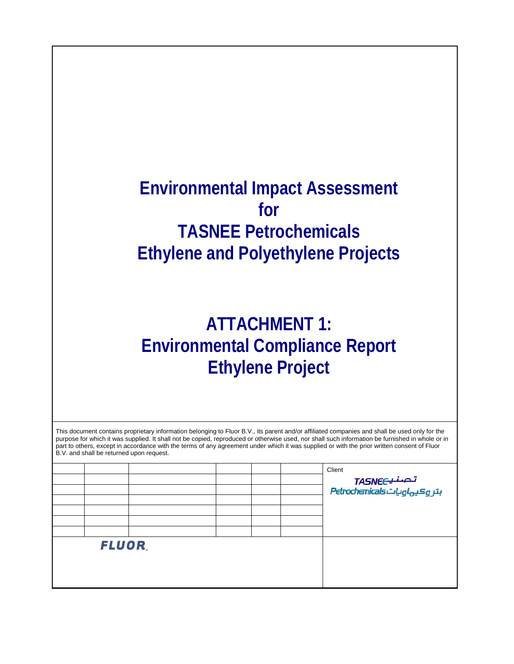## **Environmental Impact Assessment for TASNEE Petrochemicals Ethylene and Polyethylene Projects**

## **ATTACHMENT 1: Environmental Compliance Report Ethylene Project**

| B.V. and shall be returned upon request. |  |  | This document contains proprietary information belonging to Fluor B.V., its parent and/or affiliated companies and shall be used only for the<br>purpose for which it was supplied. It shall not be copied, reproduced or otherwise used, nor shall such information be furnished in whole or in<br>part to others, except in accordance with the terms of any agreement under which it was supplied or with the prior written consent of Fluor |
|------------------------------------------|--|--|-------------------------------------------------------------------------------------------------------------------------------------------------------------------------------------------------------------------------------------------------------------------------------------------------------------------------------------------------------------------------------------------------------------------------------------------------|
|                                          |  |  |                                                                                                                                                                                                                                                                                                                                                                                                                                                 |

|              |  |  | Client<br>تصنیےTASNE<br>بتروکیہاویاتhttp://etrochemicals |
|--------------|--|--|----------------------------------------------------------|
|              |  |  |                                                          |
| <b>FLUOR</b> |  |  |                                                          |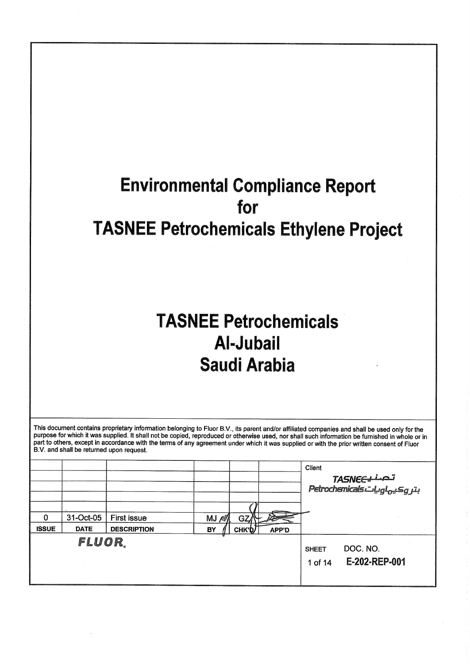# **Environmental Compliance Report** for **TASNEE Petrochemicals Ethylene Project**

# **TASNEE Petrochemicals Al-Jubail Saudi Arabia**

This document contains proprietary information belonging to Fluor B.V., its parent and/or affiliated companies and shall be used only for the purpose for which it was supplied. It shall not be copied, reproduced or otherwise used, nor shall such information be furnished in whole or in part to others, except in accordance with the terms of any agreement under which it was supplied or with the prior written consent of Fluor B.V. and shall be returned upon request.

|                   |                          |                                          |            |                    |                        | Client                  | <b>TASNEELLAS</b><br>Petrochemicals Lugl <sub>ovi</sub> sig ju |
|-------------------|--------------------------|------------------------------------------|------------|--------------------|------------------------|-------------------------|----------------------------------------------------------------|
| 0<br><b>ISSUE</b> | 31-Oct-05<br><b>DATE</b> | <b>First issue</b><br><b>DESCRIPTION</b> | MJ/M<br>BY | GZ/<br><b>СНК'</b> | <b>Proven</b><br>APP'D |                         |                                                                |
|                   | FLUOR,                   |                                          |            |                    |                        | <b>SHEET</b><br>1 of 14 | DOC. NO.<br>E-202-REP-001                                      |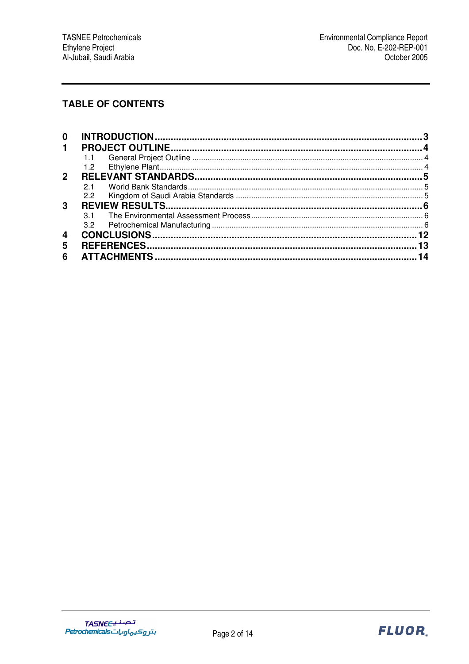## **TABLE OF CONTENTS**

| 0              |     |  |
|----------------|-----|--|
| 1              |     |  |
|                |     |  |
|                | 1.2 |  |
| $\overline{2}$ |     |  |
|                | 21  |  |
|                | 2.2 |  |
| 3              |     |  |
|                |     |  |
|                | 3.2 |  |
| 4              |     |  |
| 5              |     |  |
| 6              |     |  |

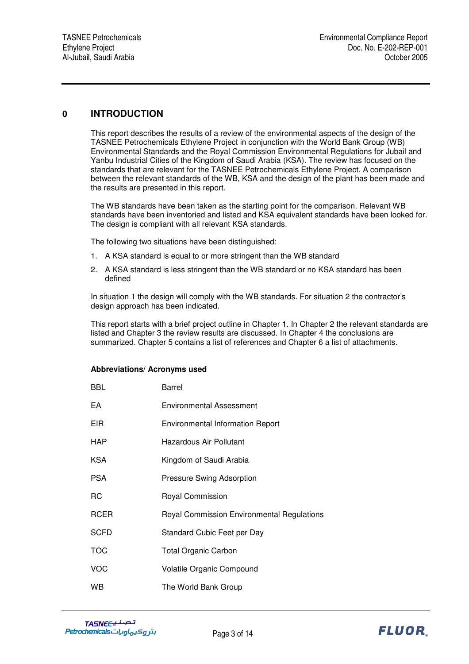### **0 INTRODUCTION**

This report describes the results of a review of the environmental aspects of the design of the TASNEE Petrochemicals Ethylene Project in conjunction with the World Bank Group (WB) Environmental Standards and the Royal Commission Environmental Regulations for Jubail and Yanbu Industrial Cities of the Kingdom of Saudi Arabia (KSA). The review has focused on the standards that are relevant for the TASNEE Petrochemicals Ethylene Project. A comparison between the relevant standards of the WB, KSA and the design of the plant has been made and the results are presented in this report.

The WB standards have been taken as the starting point for the comparison. Relevant WB standards have been inventoried and listed and KSA equivalent standards have been looked for. The design is compliant with all relevant KSA standards.

The following two situations have been distinguished:

- 1. A KSA standard is equal to or more stringent than the WB standard
- 2. A KSA standard is less stringent than the WB standard or no KSA standard has been defined

In situation 1 the design will comply with the WB standards. For situation 2 the contractor's design approach has been indicated.

This report starts with a brief project outline in Chapter 1. In Chapter 2 the relevant standards are listed and Chapter 3 the review results are discussed. In Chapter 4 the conclusions are summarized. Chapter 5 contains a list of references and Chapter 6 a list of attachments.

#### **Abbreviations/ Acronyms used**

| <b>BBL</b>  | Barrel                                     |
|-------------|--------------------------------------------|
| EA          | Environmental Assessment                   |
| EIR.        | <b>Environmental Information Report</b>    |
| <b>HAP</b>  | Hazardous Air Pollutant                    |
| <b>KSA</b>  | Kingdom of Saudi Arabia                    |
| PSA         | <b>Pressure Swing Adsorption</b>           |
| RC          | <b>Royal Commission</b>                    |
| RCER        | Royal Commission Environmental Regulations |
| <b>SCFD</b> | Standard Cubic Feet per Day                |
| <b>TOC</b>  | <b>Total Organic Carbon</b>                |
| VOC         | <b>Volatile Organic Compound</b>           |
| WB          | The World Bank Group                       |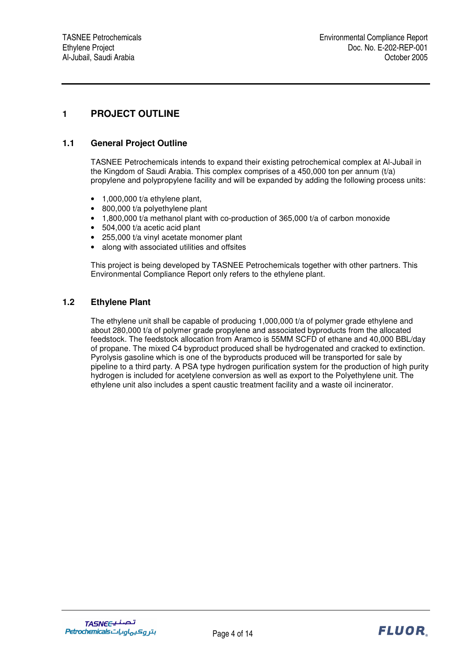## **1 PROJECT OUTLINE**

#### **1.1 General Project Outline**

TASNEE Petrochemicals intends to expand their existing petrochemical complex at Al-Jubail in the Kingdom of Saudi Arabia. This complex comprises of a 450,000 ton per annum (t/a) propylene and polypropylene facility and will be expanded by adding the following process units:

- 1,000,000 t/a ethylene plant,
- 800,000 t/a polyethylene plant
- $\bullet$  1,800,000 t/a methanol plant with co-production of 365,000 t/a of carbon monoxide
- 504,000 t/a acetic acid plant
- 255,000 t/a vinyl acetate monomer plant
- along with associated utilities and offsites

This project is being developed by TASNEE Petrochemicals together with other partners. This Environmental Compliance Report only refers to the ethylene plant.

#### **1.2 Ethylene Plant**

The ethylene unit shall be capable of producing 1,000,000 t/a of polymer grade ethylene and about 280,000 t/a of polymer grade propylene and associated byproducts from the allocated feedstock. The feedstock allocation from Aramco is 55MM SCFD of ethane and 40,000 BBL/day of propane. The mixed C4 byproduct produced shall be hydrogenated and cracked to extinction. Pyrolysis gasoline which is one of the byproducts produced will be transported for sale by pipeline to a third party. A PSA type hydrogen purification system for the production of high purity hydrogen is included for acetylene conversion as well as export to the Polyethylene unit. The ethylene unit also includes a spent caustic treatment facility and a waste oil incinerator.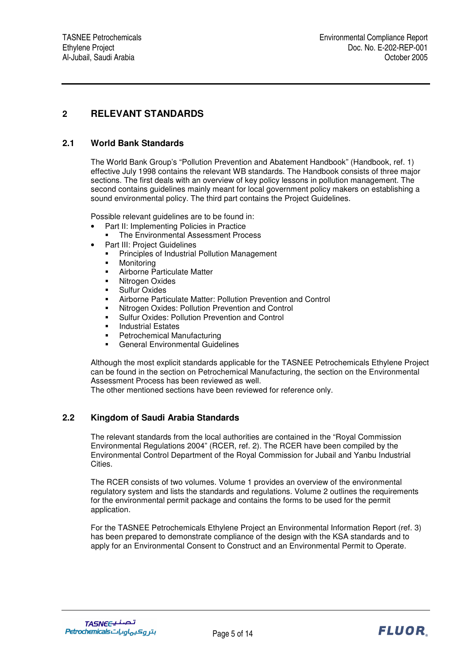## **2 RELEVANT STANDARDS**

#### **2.1 World Bank Standards**

The World Bank Group's "Pollution Prevention and Abatement Handbook" (Handbook, ref. 1) effective July 1998 contains the relevant WB standards. The Handbook consists of three major sections. The first deals with an overview of key policy lessons in pollution management. The second contains guidelines mainly meant for local government policy makers on establishing a sound environmental policy. The third part contains the Project Guidelines.

Possible relevant guidelines are to be found in:

- Part II: Implementing Policies in Practice
	- The Environmental Assessment Process
	- Part III: Project Guidelines
		- **Principles of Industrial Pollution Management**
		- **•** Monitoring
	- Airborne Particulate Matter
	- Nitrogen Oxides
	- **Sulfur Oxides**
	- Airborne Particulate Matter: Pollution Prevention and Control
	- Nitrogen Oxides: Pollution Prevention and Control
	- Sulfur Oxides: Pollution Prevention and Control
	- Industrial Estates
	- Petrochemical Manufacturing
	- General Environmental Guidelines

Although the most explicit standards applicable for the TASNEE Petrochemicals Ethylene Project can be found in the section on Petrochemical Manufacturing, the section on the Environmental Assessment Process has been reviewed as well.

The other mentioned sections have been reviewed for reference only.

#### **2.2 Kingdom of Saudi Arabia Standards**

The relevant standards from the local authorities are contained in the "Royal Commission Environmental Regulations 2004" (RCER, ref. 2). The RCER have been compiled by the Environmental Control Department of the Royal Commission for Jubail and Yanbu Industrial Cities.

The RCER consists of two volumes. Volume 1 provides an overview of the environmental regulatory system and lists the standards and regulations. Volume 2 outlines the requirements for the environmental permit package and contains the forms to be used for the permit application.

For the TASNEE Petrochemicals Ethylene Project an Environmental Information Report (ref. 3) has been prepared to demonstrate compliance of the design with the KSA standards and to apply for an Environmental Consent to Construct and an Environmental Permit to Operate.

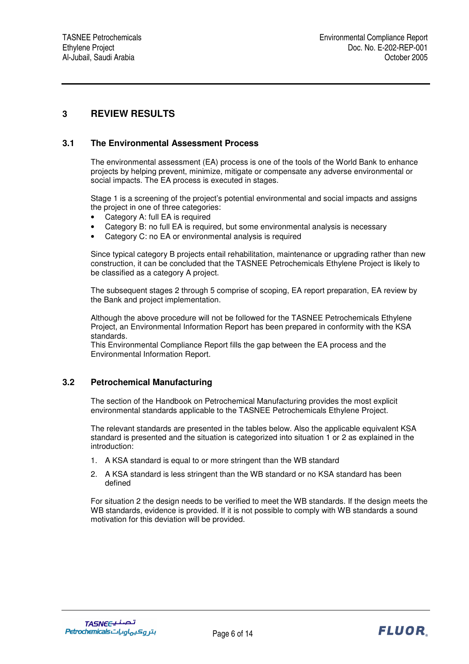## **3 REVIEW RESULTS**

#### **3.1 The Environmental Assessment Process**

The environmental assessment (EA) process is one of the tools of the World Bank to enhance projects by helping prevent, minimize, mitigate or compensate any adverse environmental or social impacts. The EA process is executed in stages.

Stage 1 is a screening of the project's potential environmental and social impacts and assigns the project in one of three categories:

- Category A: full EA is required
- Category B: no full EA is required, but some environmental analysis is necessary
- Category C: no EA or environmental analysis is required

Since typical category B projects entail rehabilitation, maintenance or upgrading rather than new construction, it can be concluded that the TASNEE Petrochemicals Ethylene Project is likely to be classified as a category A project.

The subsequent stages 2 through 5 comprise of scoping, EA report preparation, EA review by the Bank and project implementation.

Although the above procedure will not be followed for the TASNEE Petrochemicals Ethylene Project, an Environmental Information Report has been prepared in conformity with the KSA standards.

This Environmental Compliance Report fills the gap between the EA process and the Environmental Information Report.

#### **3.2 Petrochemical Manufacturing**

The section of the Handbook on Petrochemical Manufacturing provides the most explicit environmental standards applicable to the TASNEE Petrochemicals Ethylene Project.

The relevant standards are presented in the tables below. Also the applicable equivalent KSA standard is presented and the situation is categorized into situation 1 or 2 as explained in the introduction:

- 1. A KSA standard is equal to or more stringent than the WB standard
- 2. A KSA standard is less stringent than the WB standard or no KSA standard has been defined

For situation 2 the design needs to be verified to meet the WB standards. If the design meets the WB standards, evidence is provided. If it is not possible to comply with WB standards a sound motivation for this deviation will be provided.

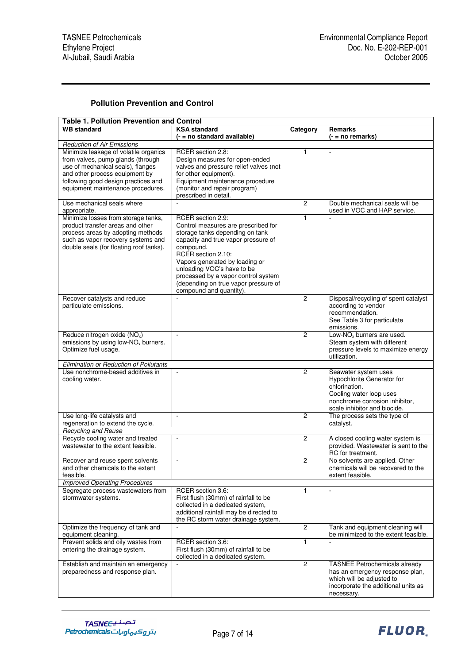#### **Pollution Prevention and Control**

| <b>Table 1. Pollution Prevention and Control</b> |                                                                            |                |                                                    |  |  |  |
|--------------------------------------------------|----------------------------------------------------------------------------|----------------|----------------------------------------------------|--|--|--|
| <b>WB</b> standard                               | <b>KSA</b> standard                                                        | Category       | <b>Remarks</b>                                     |  |  |  |
|                                                  | (- = no standard available)                                                |                | (- = no remarks)                                   |  |  |  |
| <b>Reduction of Air Emissions</b>                |                                                                            |                |                                                    |  |  |  |
| Minimize leakage of volatile organics            | RCER section 2.8:                                                          | 1              | $\blacksquare$                                     |  |  |  |
| from valves, pump glands (through                | Design measures for open-ended                                             |                |                                                    |  |  |  |
| use of mechanical seals), flanges                | valves and pressure relief valves (not                                     |                |                                                    |  |  |  |
| and other process equipment by                   | for other equipment).                                                      |                |                                                    |  |  |  |
| following good design practices and              | Equipment maintenance procedure                                            |                |                                                    |  |  |  |
| equipment maintenance procedures.                | (monitor and repair program)<br>prescribed in detail.                      |                |                                                    |  |  |  |
| Use mechanical seals where                       | $\sim$                                                                     |                | Double mechanical seals will be                    |  |  |  |
| appropriate.                                     |                                                                            | $\overline{c}$ | used in VOC and HAP service.                       |  |  |  |
| Minimize losses from storage tanks,              | RCER section 2.9:                                                          | $\mathbf{1}$   |                                                    |  |  |  |
| product transfer areas and other                 | Control measures are prescribed for                                        |                |                                                    |  |  |  |
| process areas by adopting methods                | storage tanks depending on tank                                            |                |                                                    |  |  |  |
| such as vapor recovery systems and               | capacity and true vapor pressure of                                        |                |                                                    |  |  |  |
| double seals (for floating roof tanks).          | compound.                                                                  |                |                                                    |  |  |  |
|                                                  | RCER section 2.10:                                                         |                |                                                    |  |  |  |
|                                                  | Vapors generated by loading or                                             |                |                                                    |  |  |  |
|                                                  | unloading VOC's have to be                                                 |                |                                                    |  |  |  |
|                                                  | processed by a vapor control system                                        |                |                                                    |  |  |  |
|                                                  | (depending on true vapor pressure of                                       |                |                                                    |  |  |  |
|                                                  | compound and quantity).                                                    |                |                                                    |  |  |  |
| Recover catalysts and reduce                     |                                                                            | $\overline{c}$ | Disposal/recycling of spent catalyst               |  |  |  |
| particulate emissions.                           |                                                                            |                | according to vendor                                |  |  |  |
|                                                  |                                                                            |                | recommendation.                                    |  |  |  |
|                                                  |                                                                            |                | See Table 3 for particulate                        |  |  |  |
|                                                  |                                                                            |                | emissions.                                         |  |  |  |
| Reduce nitrogen oxide (NO <sub>x</sub> )         | $\mathbb{L}$                                                               | $\overline{2}$ | Low- $NOx$ burners are used.                       |  |  |  |
| emissions by using low-NO <sub>x</sub> burners.  |                                                                            |                | Steam system with different                        |  |  |  |
| Optimize fuel usage.                             |                                                                            |                | pressure levels to maximize energy<br>utilization. |  |  |  |
| Elimination or Reduction of Pollutants           |                                                                            |                |                                                    |  |  |  |
| Use nonchrome-based additives in                 |                                                                            | $\overline{c}$ | Seawater system uses                               |  |  |  |
| cooling water.                                   |                                                                            |                | Hypochlorite Generator for                         |  |  |  |
|                                                  |                                                                            |                | chlorination.                                      |  |  |  |
|                                                  |                                                                            |                | Cooling water loop uses                            |  |  |  |
|                                                  |                                                                            |                | nonchrome corrosion inhibitor,                     |  |  |  |
|                                                  |                                                                            |                | scale inhibitor and biocide.                       |  |  |  |
| Use long-life catalysts and                      | $\overline{\phantom{a}}$                                                   | $\overline{2}$ | The process sets the type of                       |  |  |  |
| regeneration to extend the cycle.                |                                                                            |                | catalyst.                                          |  |  |  |
| <b>Recycling and Reuse</b>                       |                                                                            |                |                                                    |  |  |  |
| Recycle cooling water and treated                | ä,                                                                         | $\overline{c}$ | A closed cooling water system is                   |  |  |  |
| wastewater to the extent feasible.               |                                                                            |                | provided. Wastewater is sent to the                |  |  |  |
|                                                  |                                                                            |                | RC for treatment.                                  |  |  |  |
| Recover and reuse spent solvents                 | $\mathbb{L}$                                                               | $\overline{c}$ | No solvents are applied. Other                     |  |  |  |
| and other chemicals to the extent                |                                                                            |                | chemicals will be recovered to the                 |  |  |  |
| feasible.                                        |                                                                            |                | extent feasible.                                   |  |  |  |
| <b>Improved Operating Procedures</b>             |                                                                            |                |                                                    |  |  |  |
| Segregate process wastewaters from               | RCER section 3.6:                                                          | 1              |                                                    |  |  |  |
| stormwater systems.                              | First flush (30mm) of rainfall to be                                       |                |                                                    |  |  |  |
|                                                  | collected in a dedicated system,<br>additional rainfall may be directed to |                |                                                    |  |  |  |
|                                                  | the RC storm water drainage system.                                        |                |                                                    |  |  |  |
| Optimize the frequency of tank and               | $\sim$                                                                     | $\overline{c}$ | Tank and equipment cleaning will                   |  |  |  |
| equipment cleaning.                              |                                                                            |                | be minimized to the extent feasible.               |  |  |  |
| Prevent solids and oily wastes from              | RCER section 3.6:                                                          | 1              | $\mathbf{r}$                                       |  |  |  |
| entering the drainage system.                    | First flush (30mm) of rainfall to be                                       |                |                                                    |  |  |  |
|                                                  | collected in a dedicated system.                                           |                |                                                    |  |  |  |
| Establish and maintain an emergency              | $\Box$                                                                     | $\overline{2}$ | <b>TASNEE Petrochemicals already</b>               |  |  |  |
| preparedness and response plan.                  |                                                                            |                | has an emergency response plan,                    |  |  |  |
|                                                  |                                                                            |                | which will be adjusted to                          |  |  |  |
|                                                  |                                                                            |                | incorporate the additional units as                |  |  |  |
|                                                  |                                                                            |                | necessary.                                         |  |  |  |

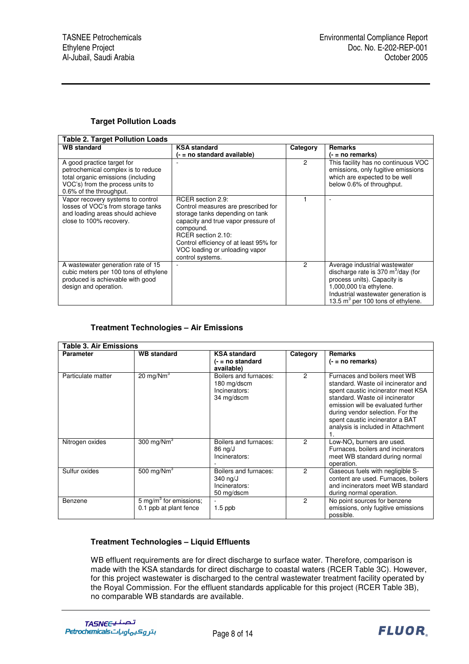#### **Target Pollution Loads**

| Table 2. Target Pollution Loads                                                                                                                                       |                                                                                                                                                                                                                                                                       |          |                                                                                                                                                                                                                 |  |  |
|-----------------------------------------------------------------------------------------------------------------------------------------------------------------------|-----------------------------------------------------------------------------------------------------------------------------------------------------------------------------------------------------------------------------------------------------------------------|----------|-----------------------------------------------------------------------------------------------------------------------------------------------------------------------------------------------------------------|--|--|
| <b>WB</b> standard                                                                                                                                                    | <b>KSA standard</b>                                                                                                                                                                                                                                                   | Category | <b>Remarks</b>                                                                                                                                                                                                  |  |  |
|                                                                                                                                                                       | (- = no standard available)                                                                                                                                                                                                                                           |          | $( - = no$ remarks)                                                                                                                                                                                             |  |  |
| A good practice target for<br>petrochemical complex is to reduce<br>total organic emissions (including<br>VOC's) from the process units to<br>0.6% of the throughput. |                                                                                                                                                                                                                                                                       | 2        | This facility has no continuous VOC<br>emissions, only fugitive emissions<br>which are expected to be well<br>below 0.6% of throughput.                                                                         |  |  |
| Vapor recovery systems to control<br>losses of VOC's from storage tanks<br>and loading areas should achieve<br>close to 100% recovery.                                | RCER section 2.9:<br>Control measures are prescribed for<br>storage tanks depending on tank<br>capacity and true vapor pressure of<br>compound.<br>RCER section 2.10:<br>Control efficiency of at least 95% for<br>VOC loading or unloading vapor<br>control systems. |          |                                                                                                                                                                                                                 |  |  |
| A wastewater generation rate of 15<br>cubic meters per 100 tons of ethylene<br>produced is achievable with good<br>design and operation.                              |                                                                                                                                                                                                                                                                       | 2        | Average industrial wastewater<br>discharge rate is 370 $m^3$ /day (for<br>process units). Capacity is<br>1,000,000 t/a ethylene.<br>Industrial wastewater generation is<br>13.5 $m^3$ per 100 tons of ethylene. |  |  |

#### **Treatment Technologies – Air Emissions**

| <b>Parameter</b>   | <b>WB</b> standard                                          | <b>KSA</b> standard<br>$(-$ = no standard<br>available)                    | Category       | Remarks<br>$(- = no$ remarks)                                                                                                                                                                                                                                                                         |
|--------------------|-------------------------------------------------------------|----------------------------------------------------------------------------|----------------|-------------------------------------------------------------------------------------------------------------------------------------------------------------------------------------------------------------------------------------------------------------------------------------------------------|
| Particulate matter | $20 \text{ mg}/\text{Nm}^3$                                 | Boilers and furnaces:<br>180 mg/dscm<br>Incinerators:<br>34 mg/dscm        | $\overline{2}$ | Furnaces and boilers meet WB<br>standard. Waste oil incinerator and<br>spent caustic incinerator meet KSA<br>standard. Waste oil incinerator<br>emission will be evaluated further<br>during vendor selection. For the<br>spent caustic incinerator a BAT<br>analysis is included in Attachment<br>1. |
| Nitrogen oxides    | 300 mg/ $Nm3$                                               | Boilers and furnaces:<br>86 ng/J<br>Incinerators:                          | 2              | Low-NO <sub>x</sub> burners are used.<br>Furnaces, boilers and incinerators<br>meet WB standard during normal<br>operation.                                                                                                                                                                           |
| Sulfur oxides      | 500 mg/ $Nm^3$                                              | Boilers and furnaces:<br>$340 \text{ ng/J}$<br>Incinerators:<br>50 mg/dscm | $\overline{2}$ | Gaseous fuels with negligible S-<br>content are used. Furnaces, boilers<br>and incinerators meet WB standard<br>during normal operation.                                                                                                                                                              |
| Benzene            | $5 \text{ mg/m}^3$ for emissions;<br>0.1 ppb at plant fence | $1.5$ ppb                                                                  | $\mathcal{P}$  | No point sources for benzene<br>emissions, only fugitive emissions<br>possible.                                                                                                                                                                                                                       |

#### **Treatment Technologies – Liquid Effluents**

WB effluent requirements are for direct discharge to surface water. Therefore, comparison is made with the KSA standards for direct discharge to coastal waters (RCER Table 3C). However, for this project wastewater is discharged to the central wastewater treatment facility operated by the Royal Commission. For the effluent standards applicable for this project (RCER Table 3B), no comparable WB standards are available.

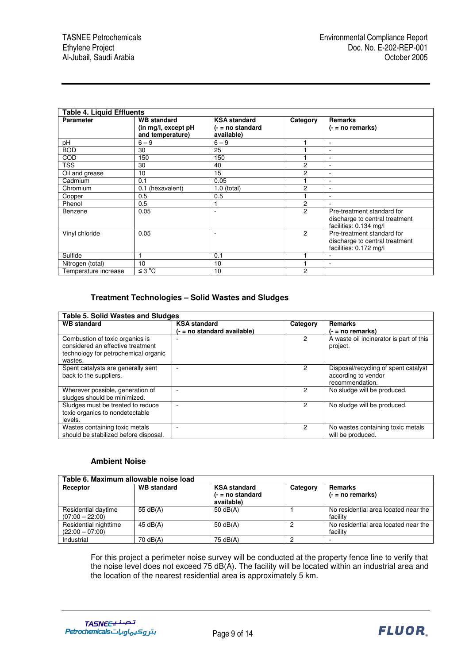| <b>Table 4. Liquid Effluents</b> |                                                                |                                                         |                |                                                                                        |  |
|----------------------------------|----------------------------------------------------------------|---------------------------------------------------------|----------------|----------------------------------------------------------------------------------------|--|
| <b>Parameter</b>                 | <b>WB</b> standard<br>(in mg/l, except pH)<br>and temperature) | <b>KSA</b> standard<br>$(-$ = no standard<br>available) | Category       | <b>Remarks</b><br>$(- = no$ remarks)                                                   |  |
| pH                               | $6 - 9$                                                        | $6 - 9$                                                 |                | $\overline{\phantom{a}}$                                                               |  |
| <b>BOD</b>                       | 30                                                             | 25                                                      |                | $\sim$                                                                                 |  |
| <b>COD</b>                       | 150                                                            | 150                                                     |                | $\overline{\phantom{a}}$                                                               |  |
| <b>TSS</b>                       | 30                                                             | 40                                                      | 2              | $\overline{\phantom{a}}$                                                               |  |
| Oil and grease                   | 10                                                             | 15                                                      | 2              | $\sim$                                                                                 |  |
| Cadmium                          | 0.1                                                            | 0.05                                                    |                | $\overline{\phantom{a}}$                                                               |  |
| Chromium                         | (hexavalent)<br>0.1                                            | 1.0 (total)                                             | 2              | ٠                                                                                      |  |
| Copper                           | 0.5                                                            | 0.5                                                     |                | ۰                                                                                      |  |
| Phenol                           | 0.5                                                            |                                                         | 2              |                                                                                        |  |
| Benzene                          | 0.05                                                           | ۰.                                                      | $\overline{2}$ | Pre-treatment standard for<br>discharge to central treatment<br>facilities: 0.134 mg/l |  |
| Vinyl chloride                   | 0.05                                                           |                                                         | $\overline{c}$ | Pre-treatment standard for<br>discharge to central treatment<br>facilities: 0.172 mg/l |  |
| Sulfide                          |                                                                | 0.1                                                     |                | ٠                                                                                      |  |
| Nitrogen (total)                 | 10                                                             | 10                                                      |                | ٠                                                                                      |  |
| Temperature increase             | $\leq 3^{\circ}C$                                              | 10                                                      | 2              |                                                                                        |  |

#### **Treatment Technologies – Solid Wastes and Sludges**

| <b>Table 5. Solid Wastes and Sludges</b>                                                                                |                                                    |          |                                                                                |  |  |
|-------------------------------------------------------------------------------------------------------------------------|----------------------------------------------------|----------|--------------------------------------------------------------------------------|--|--|
| <b>WB</b> standard                                                                                                      | <b>KSA</b> standard<br>(- = no standard available) | Category | <b>Remarks</b><br>(- = no remarks)                                             |  |  |
| Combustion of toxic organics is<br>considered an effective treatment<br>technology for petrochemical organic<br>wastes. |                                                    | 2        | A waste oil incinerator is part of this<br>project.                            |  |  |
| Spent catalysts are generally sent<br>back to the suppliers.                                                            |                                                    | 2        | Disposal/recycling of spent catalyst<br>according to vendor<br>recommendation. |  |  |
| Wherever possible, generation of<br>sludges should be minimized.                                                        |                                                    | 2        | No sludge will be produced.                                                    |  |  |
| Sludges must be treated to reduce<br>toxic organics to nondetectable<br>levels.                                         |                                                    | 2        | No sludge will be produced.                                                    |  |  |
| Wastes containing toxic metals<br>should be stabilized before disposal.                                                 |                                                    | 2        | No wastes containing toxic metals<br>will be produced.                         |  |  |

#### **Ambient Noise**

| Table 6. Maximum allowable noise load      |                    |                                                         |          |                                                  |  |  |
|--------------------------------------------|--------------------|---------------------------------------------------------|----------|--------------------------------------------------|--|--|
| Receptor                                   | <b>WB</b> standard | <b>KSA standard</b><br>$(-$ = no standard<br>available) | Category | Remarks<br>$(- = no$ remarks)                    |  |  |
| Residential daytime<br>$(07:00 - 22:00)$   | 55 $dB(A)$         | 50 $dB(A)$                                              |          | No residential area located near the<br>facility |  |  |
| Residential nighttime<br>$(22:00 - 07:00)$ | 45 dB(A)           | 50 $dB(A)$                                              | 2        | No residential area located near the<br>facility |  |  |
| Industrial                                 | 70 dB(A)           | 75 dB(A)                                                | ◠        |                                                  |  |  |

For this project a perimeter noise survey will be conducted at the property fence line to verify that the noise level does not exceed 75 dB(A). The facility will be located within an industrial area and the location of the nearest residential area is approximately 5 km.

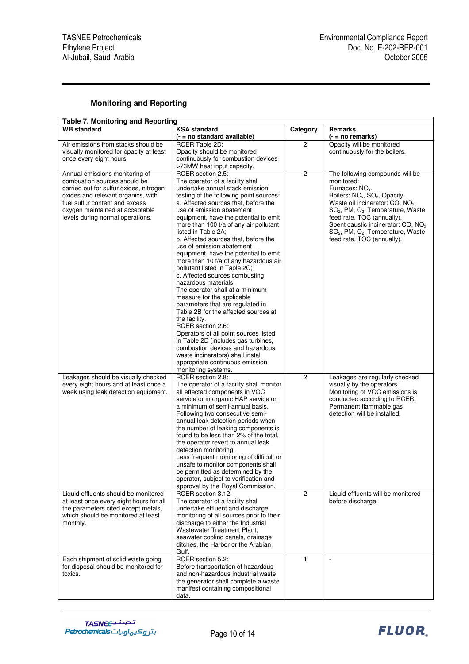#### **Monitoring and Reporting**

| <b>Table 7. Monitoring and Reporting</b>                           |                                                                              |                |                                                           |  |  |  |  |
|--------------------------------------------------------------------|------------------------------------------------------------------------------|----------------|-----------------------------------------------------------|--|--|--|--|
| <b>WB</b> standard                                                 | <b>KSA</b> standard                                                          | Category       | Remarks                                                   |  |  |  |  |
|                                                                    | (- = no standard available)                                                  |                | $( - = no$ remarks)                                       |  |  |  |  |
| Air emissions from stacks should be                                | <b>RCER Table 2D:</b>                                                        | $\overline{c}$ | Opacity will be monitored                                 |  |  |  |  |
| visually monitored for opacity at least<br>once every eight hours. | Opacity should be monitored<br>continuously for combustion devices           |                | continuously for the boilers.                             |  |  |  |  |
|                                                                    | >73MW heat input capacity.                                                   |                |                                                           |  |  |  |  |
| Annual emissions monitoring of                                     | RCER section 2.5:                                                            | $\overline{c}$ | The following compounds will be                           |  |  |  |  |
| combustion sources should be                                       | The operator of a facility shall                                             |                | monitored:                                                |  |  |  |  |
| carried out for sulfur oxides, nitrogen                            | undertake annual stack emission                                              |                | Furnaces: NO <sub>x</sub> .                               |  |  |  |  |
| oxides and relevant organics, with                                 | testing of the following point sources:                                      |                | Boilers: NO <sub>x</sub> , SO <sub>2</sub> , Opacity.     |  |  |  |  |
| fuel sulfur content and excess                                     | a. Affected sources that, before the                                         |                | Waste oil incinerator: CO, NO <sub>x</sub> ,              |  |  |  |  |
| oxygen maintained at acceptable                                    | use of emission abatement                                                    |                | SO <sub>2</sub> , PM, O <sub>2</sub> , Temperature, Waste |  |  |  |  |
| levels during normal operations.                                   | equipment, have the potential to emit                                        |                | feed rate, TOC (annually).                                |  |  |  |  |
|                                                                    | more than 100 t/a of any air pollutant                                       |                | Spent caustic incinerator: CO, NO <sub>x</sub> ,          |  |  |  |  |
|                                                                    | listed in Table 2A;                                                          |                | SO <sub>2</sub> , PM, O <sub>2</sub> , Temperature, Waste |  |  |  |  |
|                                                                    | b. Affected sources that, before the                                         |                | feed rate, TOC (annually).                                |  |  |  |  |
|                                                                    | use of emission abatement<br>equipment, have the potential to emit           |                |                                                           |  |  |  |  |
|                                                                    | more than 10 t/a of any hazardous air                                        |                |                                                           |  |  |  |  |
|                                                                    | pollutant listed in Table 2C;                                                |                |                                                           |  |  |  |  |
|                                                                    | c. Affected sources combusting                                               |                |                                                           |  |  |  |  |
|                                                                    | hazardous materials.                                                         |                |                                                           |  |  |  |  |
|                                                                    | The operator shall at a minimum                                              |                |                                                           |  |  |  |  |
|                                                                    | measure for the applicable                                                   |                |                                                           |  |  |  |  |
|                                                                    | parameters that are regulated in                                             |                |                                                           |  |  |  |  |
|                                                                    | Table 2B for the affected sources at                                         |                |                                                           |  |  |  |  |
|                                                                    | the facility.                                                                |                |                                                           |  |  |  |  |
|                                                                    | RCER section 2.6:                                                            |                |                                                           |  |  |  |  |
|                                                                    | Operators of all point sources listed<br>in Table 2D (includes gas turbines, |                |                                                           |  |  |  |  |
|                                                                    | combustion devices and hazardous                                             |                |                                                           |  |  |  |  |
|                                                                    | waste incinerators) shall install                                            |                |                                                           |  |  |  |  |
|                                                                    | appropriate continuous emission                                              |                |                                                           |  |  |  |  |
|                                                                    | monitoring systems.                                                          |                |                                                           |  |  |  |  |
| Leakages should be visually checked                                | RCER section 2.8:                                                            | $\overline{c}$ | Leakages are regularly checked                            |  |  |  |  |
| every eight hours and at least once a                              | The operator of a facility shall monitor                                     |                | visually by the operators.                                |  |  |  |  |
| week using leak detection equipment.                               | all effected components in VOC                                               |                | Monitoring of VOC emissions is                            |  |  |  |  |
|                                                                    | service or in organic HAP service on                                         |                | conducted according to RCER.                              |  |  |  |  |
|                                                                    | a minimum of semi-annual basis.<br>Following two consecutive semi-           |                | Permanent flammable gas<br>detection will be installed.   |  |  |  |  |
|                                                                    | annual leak detection periods when                                           |                |                                                           |  |  |  |  |
|                                                                    | the number of leaking components is                                          |                |                                                           |  |  |  |  |
|                                                                    | found to be less than 2% of the total,                                       |                |                                                           |  |  |  |  |
|                                                                    | the operator revert to annual leak                                           |                |                                                           |  |  |  |  |
|                                                                    | detection monitoring.                                                        |                |                                                           |  |  |  |  |
|                                                                    | Less frequent monitoring of difficult or                                     |                |                                                           |  |  |  |  |
|                                                                    | unsafe to monitor components shall                                           |                |                                                           |  |  |  |  |
|                                                                    | be permitted as determined by the                                            |                |                                                           |  |  |  |  |
|                                                                    | operator, subject to verification and                                        |                |                                                           |  |  |  |  |
| Liquid effluents should be monitored                               | approval by the Royal Commission.<br>RCER section 3.12:                      | $\overline{c}$ | Liquid effluents will be monitored                        |  |  |  |  |
| at least once every eight hours for all                            | The operator of a facility shall                                             |                | before discharge.                                         |  |  |  |  |
| the parameters cited except metals,                                | undertake effluent and discharge                                             |                |                                                           |  |  |  |  |
| which should be monitored at least                                 | monitoring of all sources prior to their                                     |                |                                                           |  |  |  |  |
| monthly.                                                           | discharge to either the Industrial                                           |                |                                                           |  |  |  |  |
|                                                                    | Wastewater Treatment Plant,                                                  |                |                                                           |  |  |  |  |
|                                                                    | seawater cooling canals, drainage                                            |                |                                                           |  |  |  |  |
|                                                                    | ditches, the Harbor or the Arabian                                           |                |                                                           |  |  |  |  |
|                                                                    | Gulf.                                                                        |                |                                                           |  |  |  |  |
| Each shipment of solid waste going                                 | RCER section 5.2:                                                            | 1              | $\blacksquare$                                            |  |  |  |  |
| for disposal should be monitored for                               | Before transportation of hazardous                                           |                |                                                           |  |  |  |  |
| toxics.                                                            | and non-hazardous industrial waste<br>the generator shall complete a waste   |                |                                                           |  |  |  |  |
|                                                                    | manifest containing compositional                                            |                |                                                           |  |  |  |  |
|                                                                    | data.                                                                        |                |                                                           |  |  |  |  |

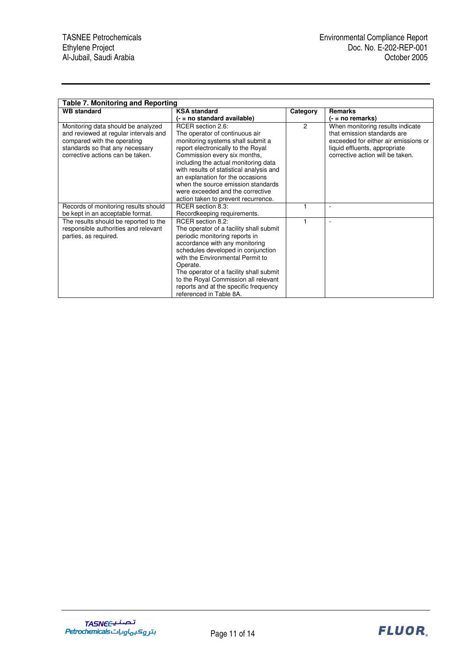| Table 7. Monitoring and Reporting                                                                                                                                                 |                                                                                                                                                                                                                                                                                                                                                                                                         |                |                                                                                                                                                                              |
|-----------------------------------------------------------------------------------------------------------------------------------------------------------------------------------|---------------------------------------------------------------------------------------------------------------------------------------------------------------------------------------------------------------------------------------------------------------------------------------------------------------------------------------------------------------------------------------------------------|----------------|------------------------------------------------------------------------------------------------------------------------------------------------------------------------------|
| <b>WB</b> standard                                                                                                                                                                | <b>KSA standard</b>                                                                                                                                                                                                                                                                                                                                                                                     | Category       | <b>Remarks</b>                                                                                                                                                               |
|                                                                                                                                                                                   | (- = no standard available)                                                                                                                                                                                                                                                                                                                                                                             |                | (- = no remarks)                                                                                                                                                             |
| Monitoring data should be analyzed<br>and reviewed at regular intervals and<br>compared with the operating<br>standards so that any necessary<br>corrective actions can be taken. | RCER section 2.6:<br>The operator of continuous air<br>monitoring systems shall submit a<br>report electronically to the Royal<br>Commission every six months,<br>including the actual monitoring data<br>with results of statistical analysis and<br>an explanation for the occasions<br>when the source emission standards<br>were exceeded and the corrective<br>action taken to prevent recurrence. | $\overline{c}$ | When monitoring results indicate<br>that emission standards are<br>exceeded for either air emissions or<br>liquid effluents, appropriate<br>corrective action will be taken. |
| Records of monitoring results should                                                                                                                                              | RCER section 8.3:                                                                                                                                                                                                                                                                                                                                                                                       |                | $\blacksquare$                                                                                                                                                               |
| be kept in an acceptable format.                                                                                                                                                  | Recordkeeping requirements.                                                                                                                                                                                                                                                                                                                                                                             |                |                                                                                                                                                                              |
| The results should be reported to the<br>responsible authorities and relevant<br>parties, as required.                                                                            | RCER section 8.2:<br>The operator of a facility shall submit<br>periodic monitoring reports in<br>accordance with any monitoring<br>schedules developed in conjunction<br>with the Environmental Permit to<br>Operate.<br>The operator of a facility shall submit<br>to the Royal Commission all relevant<br>reports and at the specific frequency<br>referenced in Table 8A.                           |                | $\overline{\phantom{a}}$                                                                                                                                                     |

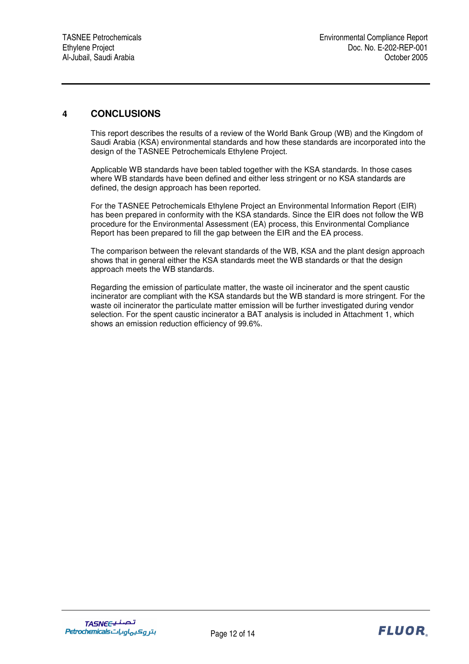### **4 CONCLUSIONS**

This report describes the results of a review of the World Bank Group (WB) and the Kingdom of Saudi Arabia (KSA) environmental standards and how these standards are incorporated into the design of the TASNEE Petrochemicals Ethylene Project.

Applicable WB standards have been tabled together with the KSA standards. In those cases where WB standards have been defined and either less stringent or no KSA standards are defined, the design approach has been reported.

For the TASNEE Petrochemicals Ethylene Project an Environmental Information Report (EIR) has been prepared in conformity with the KSA standards. Since the EIR does not follow the WB procedure for the Environmental Assessment (EA) process, this Environmental Compliance Report has been prepared to fill the gap between the EIR and the EA process.

The comparison between the relevant standards of the WB, KSA and the plant design approach shows that in general either the KSA standards meet the WB standards or that the design approach meets the WB standards.

Regarding the emission of particulate matter, the waste oil incinerator and the spent caustic incinerator are compliant with the KSA standards but the WB standard is more stringent. For the waste oil incinerator the particulate matter emission will be further investigated during vendor selection. For the spent caustic incinerator a BAT analysis is included in Attachment 1, which shows an emission reduction efficiency of 99.6%.

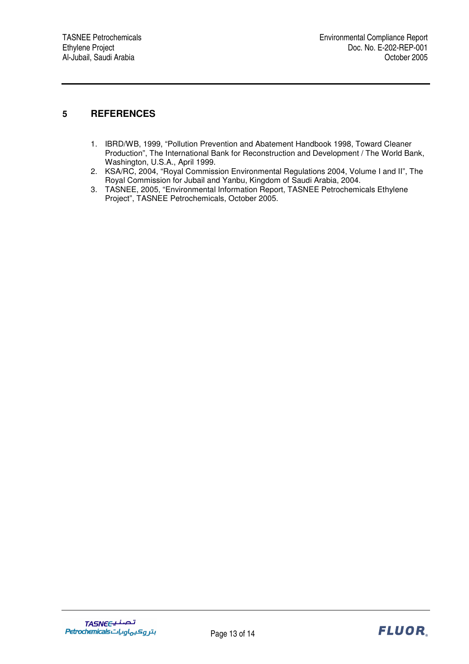### **5 REFERENCES**

- 1. IBRD/WB, 1999, "Pollution Prevention and Abatement Handbook 1998, Toward Cleaner Production", The International Bank for Reconstruction and Development / The World Bank, Washington, U.S.A., April 1999.
- 2. KSA/RC, 2004, "Royal Commission Environmental Regulations 2004, Volume I and II", The Royal Commission for Jubail and Yanbu, Kingdom of Saudi Arabia, 2004.
- 3. TASNEE, 2005, "Environmental Information Report, TASNEE Petrochemicals Ethylene Project", TASNEE Petrochemicals, October 2005.